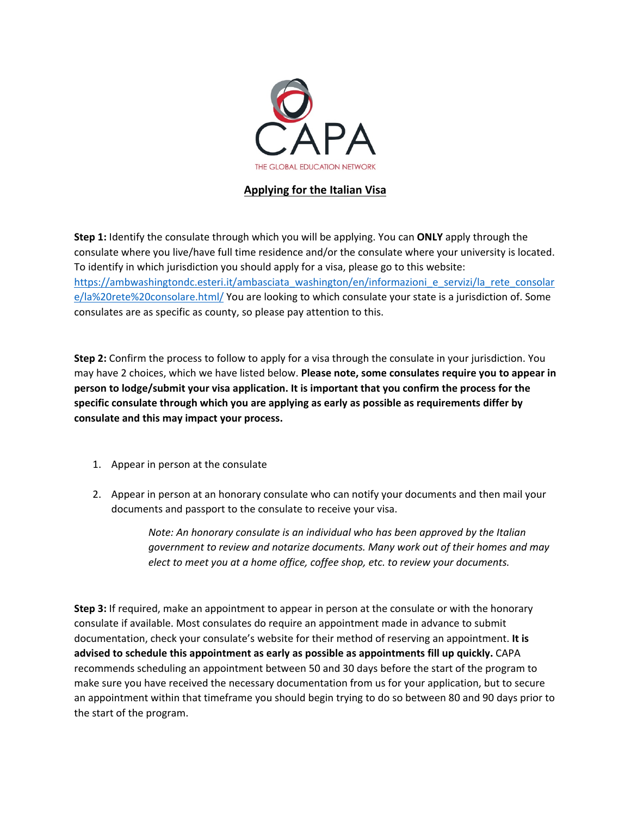

## **Applying for the Italian Visa**

**Step 1:** Identify the consulate through which you will be applying. You can **ONLY** apply through the consulate where you live/have full time residence and/or the consulate where your university is located. To identify in which jurisdiction you should apply for a visa, please go to this website: [https://ambwashingtondc.esteri.it/ambasciata\\_washington/en/informazioni\\_e\\_servizi/la\\_rete\\_consolar](https://ambwashingtondc.esteri.it/ambasciata_washington/en/informazioni_e_servizi/la_rete_consolare/la%20rete%20consolare.html/) [e/la%20rete%20consolare.html/](https://ambwashingtondc.esteri.it/ambasciata_washington/en/informazioni_e_servizi/la_rete_consolare/la%20rete%20consolare.html/) You are looking to which consulate your state is a jurisdiction of. Some consulates are as specific as county, so please pay attention to this.

**Step 2:** Confirm the process to follow to apply for a visa through the consulate in your jurisdiction. You may have 2 choices, which we have listed below. **Please note, some consulates require you to appear in person to lodge/submit your visa application. It is important that you confirm the process for the specific consulate through which you are applying as early as possible as requirements differ by consulate and this may impact your process.**

- 1. Appear in person at the consulate
- 2. Appear in person at an honorary consulate who can notify your documents and then mail your documents and passport to the consulate to receive your visa.

*Note: An honorary consulate is an individual who has been approved by the Italian government to review and notarize documents. Many work out of their homes and may elect to meet you at a home office, coffee shop, etc. to review your documents.*

**Step 3:** If required, make an appointment to appear in person at the consulate or with the honorary consulate if available. Most consulates do require an appointment made in advance to submit documentation, check your consulate's website for their method of reserving an appointment. **It is advised to schedule this appointment as early as possible as appointments fill up quickly.** CAPA recommends scheduling an appointment between 50 and 30 days before the start of the program to make sure you have received the necessary documentation from us for your application, but to secure an appointment within that timeframe you should begin trying to do so between 80 and 90 days prior to the start of the program.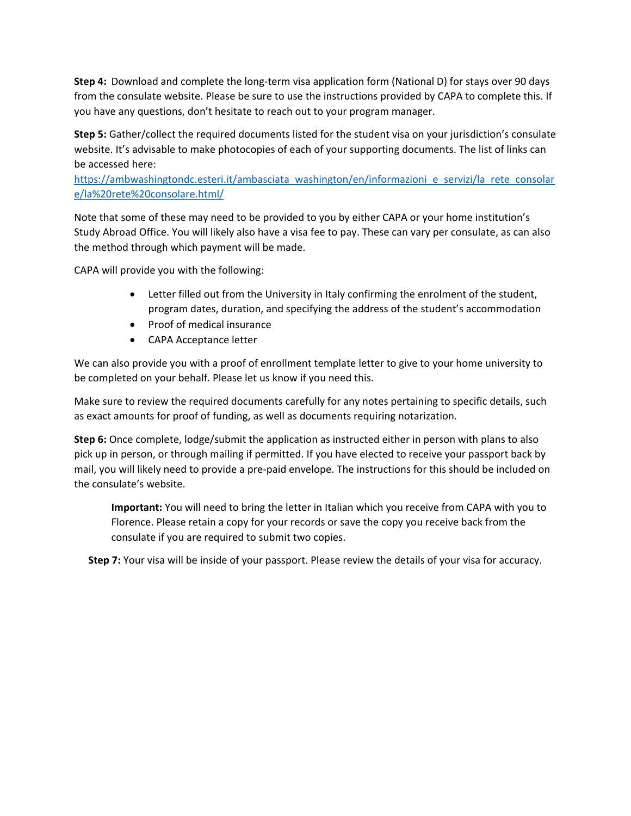**Step 4:** Download and complete the long-term visa application form (National D) for stays over 90 days from the consulate website. Please be sure to use the instructions provided by CAPA to complete this. If you have any questions, don't hesitate to reach out to your program manager.

**Step 5:** Gather/collect the required documents listed for the student visa on your jurisdiction's consulate website. It's advisable to make photocopies of each of your supporting documents. The list of links can be accessed here:

[https://ambwashingtondc.esteri.it/ambasciata\\_washington/en/informazioni\\_e\\_servizi/la\\_rete\\_consolar](https://ambwashingtondc.esteri.it/ambasciata_washington/en/informazioni_e_servizi/la_rete_consolare/la%20rete%20consolare.html/) [e/la%20rete%20consolare.html/](https://ambwashingtondc.esteri.it/ambasciata_washington/en/informazioni_e_servizi/la_rete_consolare/la%20rete%20consolare.html/)

Note that some of these may need to be provided to you by either CAPA or your home institution's Study Abroad Office. You will likely also have a visa fee to pay. These can vary per consulate, as can also the method through which payment will be made.

CAPA will provide you with the following:

- Letter filled out from the University in Italy confirming the enrolment of the student, program dates, duration, and specifying the address of the student's accommodation
- Proof of medical insurance
- CAPA Acceptance letter

We can also provide you with a proof of enrollment template letter to give to your home university to be completed on your behalf. Please let us know if you need this.

Make sure to review the required documents carefully for any notes pertaining to specific details, such as exact amounts for proof of funding, as well as documents requiring notarization.

**Step 6:** Once complete, lodge/submit the application as instructed either in person with plans to also pick up in person, or through mailing if permitted. If you have elected to receive your passport back by mail, you will likely need to provide a pre-paid envelope. The instructions for this should be included on the consulate's website.

**Important:** You will need to bring the letter in Italian which you receive from CAPA with you to Florence. Please retain a copy for your records or save the copy you receive back from the consulate if you are required to submit two copies.

**Step 7:** Your visa will be inside of your passport. Please review the details of your visa for accuracy.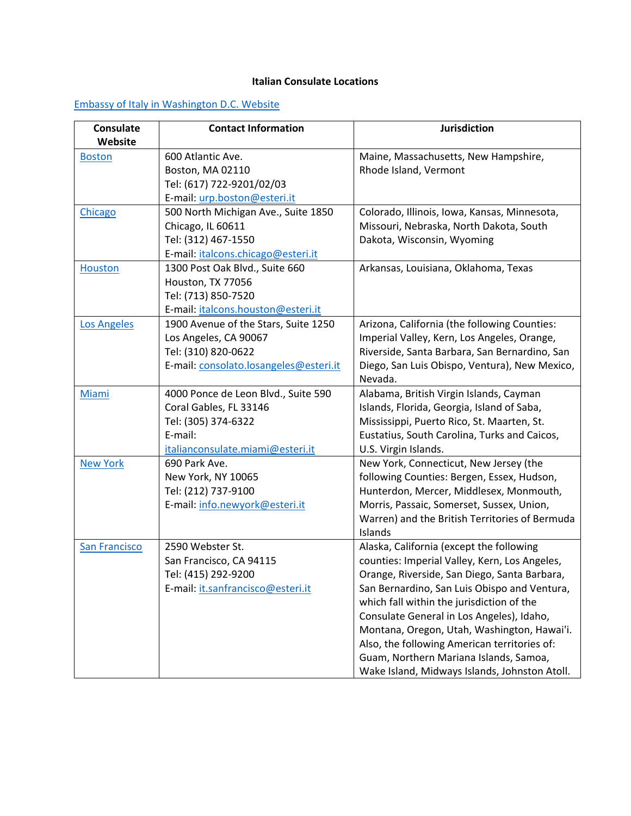## **Italian Consulate Locations**

## [Embassy of Italy in Washington D.C. Website](https://ambwashingtondc.esteri.it/Ambasciata_Washington/en)

| Consulate            | <b>Contact Information</b>             | <b>Jurisdiction</b>                            |
|----------------------|----------------------------------------|------------------------------------------------|
| Website              |                                        |                                                |
| <b>Boston</b>        | 600 Atlantic Ave.                      | Maine, Massachusetts, New Hampshire,           |
|                      | Boston, MA 02110                       | Rhode Island, Vermont                          |
|                      | Tel: (617) 722-9201/02/03              |                                                |
|                      | E-mail: urp.boston@esteri.it           |                                                |
| Chicago              | 500 North Michigan Ave., Suite 1850    | Colorado, Illinois, Iowa, Kansas, Minnesota,   |
|                      | Chicago, IL 60611                      | Missouri, Nebraska, North Dakota, South        |
|                      | Tel: (312) 467-1550                    | Dakota, Wisconsin, Wyoming                     |
|                      | E-mail: italcons.chicago@esteri.it     |                                                |
| <b>Houston</b>       | 1300 Post Oak Blvd., Suite 660         | Arkansas, Louisiana, Oklahoma, Texas           |
|                      | Houston, TX 77056                      |                                                |
|                      | Tel: (713) 850-7520                    |                                                |
|                      | E-mail: italcons.houston@esteri.it     |                                                |
| <b>Los Angeles</b>   | 1900 Avenue of the Stars, Suite 1250   | Arizona, California (the following Counties:   |
|                      | Los Angeles, CA 90067                  | Imperial Valley, Kern, Los Angeles, Orange,    |
|                      | Tel: (310) 820-0622                    | Riverside, Santa Barbara, San Bernardino, San  |
|                      | E-mail: consolato.losangeles@esteri.it | Diego, San Luis Obispo, Ventura), New Mexico,  |
|                      |                                        | Nevada.                                        |
| Miami                | 4000 Ponce de Leon Blvd., Suite 590    | Alabama, British Virgin Islands, Cayman        |
|                      | Coral Gables, FL 33146                 | Islands, Florida, Georgia, Island of Saba,     |
|                      | Tel: (305) 374-6322                    | Mississippi, Puerto Rico, St. Maarten, St.     |
|                      | E-mail:                                | Eustatius, South Carolina, Turks and Caicos,   |
|                      | italianconsulate.miami@esteri.it       | U.S. Virgin Islands.                           |
| <b>New York</b>      | 690 Park Ave.                          | New York, Connecticut, New Jersey (the         |
|                      | New York, NY 10065                     | following Counties: Bergen, Essex, Hudson,     |
|                      | Tel: (212) 737-9100                    | Hunterdon, Mercer, Middlesex, Monmouth,        |
|                      | E-mail: info.newyork@esteri.it         | Morris, Passaic, Somerset, Sussex, Union,      |
|                      |                                        | Warren) and the British Territories of Bermuda |
|                      |                                        | Islands                                        |
| <b>San Francisco</b> | 2590 Webster St.                       | Alaska, California (except the following       |
|                      | San Francisco, CA 94115                | counties: Imperial Valley, Kern, Los Angeles,  |
|                      | Tel: (415) 292-9200                    | Orange, Riverside, San Diego, Santa Barbara,   |
|                      | E-mail: it.sanfrancisco@esteri.it      | San Bernardino, San Luis Obispo and Ventura,   |
|                      |                                        | which fall within the jurisdiction of the      |
|                      |                                        | Consulate General in Los Angeles), Idaho,      |
|                      |                                        | Montana, Oregon, Utah, Washington, Hawai'i.    |
|                      |                                        | Also, the following American territories of:   |
|                      |                                        | Guam, Northern Mariana Islands, Samoa,         |
|                      |                                        | Wake Island, Midways Islands, Johnston Atoll.  |